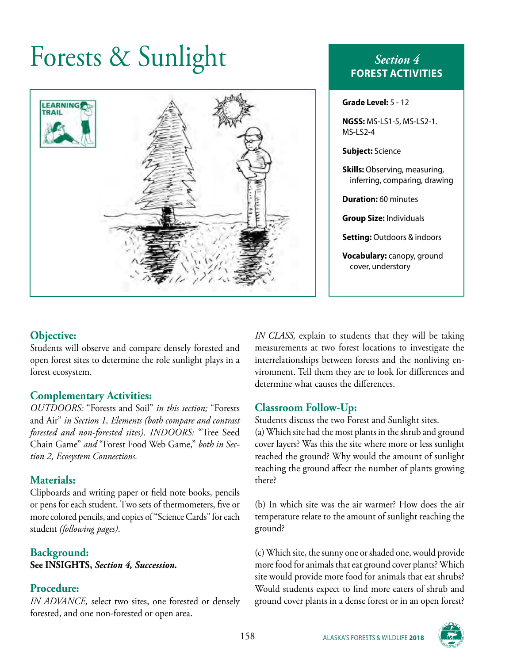# Forests & Sunlight *Section 4*



# **FOREST ACTIVITIES**

| <b>Grade Level:</b> 5 - 12                                            |
|-----------------------------------------------------------------------|
| NGSS: MS-LS1-5, MS-LS2-1.<br>MS-LS2-4                                 |
| <b>Subject:</b> Science                                               |
| <b>Skills:</b> Observing, measuring,<br>inferring, comparing, drawing |
| <b>Duration: 60 minutes</b>                                           |
| <b>Group Size: Individuals</b>                                        |
| <b>Setting:</b> Outdoors & indoors                                    |
| Vocabulary: canopy, ground<br>cover, understory                       |

### **Objective:**

Students will observe and compare densely forested and open forest sites to determine the role sunlight plays in a forest ecosystem.

#### **Complementary Activities:**

*OUTDOORS:* "Forests and Soil" *in this section;* "Forests and Air" *in Section 1, Elements (both compare and contrast forested and non-forested sites). INDOORS:* "Tree Seed Chain Game" *and* "Forest Food Web Game," *both in Section 2, Ecosystem Connections.*

#### **Materials:**

Clipboards and writing paper or field note books, pencils or pens for each student. Two sets of thermometers, five or more colored pencils, and copies of "Science Cards" for each student *(following pages)*.

#### **Background: See INSIGHTS,** *Section 4, Succession.*

### **Procedure:**

*IN ADVANCE,* select two sites, one forested or densely forested, and one non-forested or open area.

*IN CLASS,* explain to students that they will be taking measurements at two forest locations to investigate the interrelationships between forests and the nonliving environment. Tell them they are to look for differences and determine what causes the differences.

### **Classroom Follow-Up:**

Students discuss the two Forest and Sunlight sites.

(a) Which site had the most plants in the shrub and ground cover layers? Was this the site where more or less sunlight reached the ground? Why would the amount of sunlight reaching the ground affect the number of plants growing there?

(b) In which site was the air warmer? How does the air temperature relate to the amount of sunlight reaching the ground?

(c) Which site, the sunny one or shaded one, would provide more food for animals that eat ground cover plants? Which site would provide more food for animals that eat shrubs? Would students expect to find more eaters of shrub and ground cover plants in a dense forest or in an open forest?

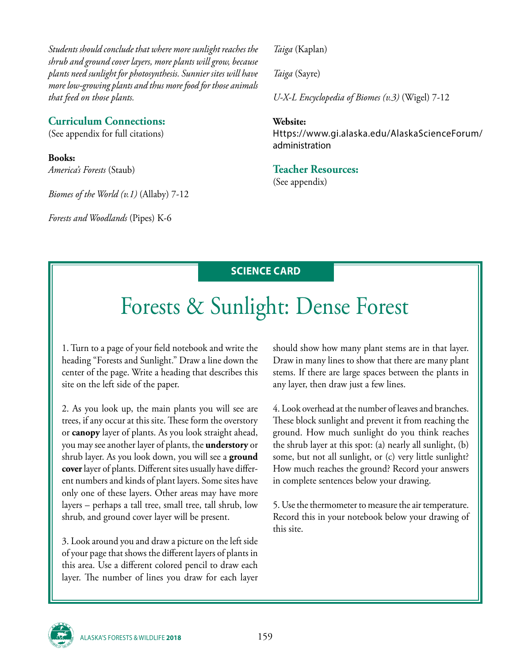*Students should conclude that where more sunlight reaches the shrub and ground cover layers, more plants will grow, because plants need sunlight for photosynthesis. Sunnier sites will have more low-growing plants and thus more food for those animals that feed on those plants.*

#### **Curriculum Connections:**

(See appendix for full citations)

**Books:** *America's Forests* (Staub)

*Biomes of the World (v.1)* (Allaby) 7-12

*Forests and Woodlands* (Pipes) K-6

*Taiga* (Kaplan)

*Taiga* (Sayre)

*U-X-L Encyclopedia of Biomes (v.3)* (Wigel) 7-12

#### **Website:**

Https://www.gi.alaska.edu/AlaskaScienceForum/ administration

#### **Teacher Resources:**

(See appendix)

## **SCIENCE CARD**

# Forests & Sunlight: Dense Forest

1. Turn to a page of your field notebook and write the heading "Forests and Sunlight." Draw a line down the center of the page. Write a heading that describes this site on the left side of the paper.

2. As you look up, the main plants you will see are trees, if any occur at this site. These form the overstory or **canopy** layer of plants. As you look straight ahead, you may see another layer of plants, the **understory** or shrub layer. As you look down, you will see a **ground cover** layer of plants. Different sites usually have different numbers and kinds of plant layers. Some sites have only one of these layers. Other areas may have more layers – perhaps a tall tree, small tree, tall shrub, low shrub, and ground cover layer will be present.

3. Look around you and draw a picture on the left side of your page that shows the different layers of plants in this area. Use a different colored pencil to draw each layer. The number of lines you draw for each layer

should show how many plant stems are in that layer. Draw in many lines to show that there are many plant stems. If there are large spaces between the plants in any layer, then draw just a few lines.

4. Look overhead at the number of leaves and branches. These block sunlight and prevent it from reaching the ground. How much sunlight do you think reaches the shrub layer at this spot: (a) nearly all sunlight, (b) some, but not all sunlight, or (c) very little sunlight? How much reaches the ground? Record your answers in complete sentences below your drawing.

5. Use the thermometer to measure the air temperature. Record this in your notebook below your drawing of this site.